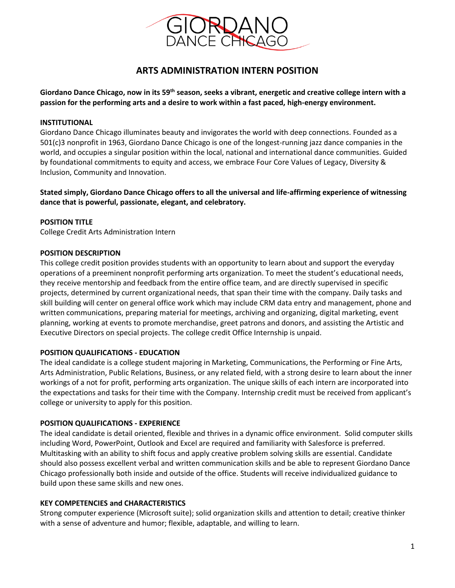

# **ARTS ADMINISTRATION INTERN POSITION**

**Giordano Dance Chicago, now in its 59th season, seeks a vibrant, energetic and creative college intern with a passion for the performing arts and a desire to work within a fast paced, high-energy environment.**

# **INSTITUTIONAL**

Giordano Dance Chicago illuminates beauty and invigorates the world with deep connections. Founded as a 501(c)3 nonprofit in 1963, Giordano Dance Chicago is one of the longest-running jazz dance companies in the world, and occupies a singular position within the local, national and international dance communities. Guided by foundational commitments to equity and access, we embrace Four Core Values of Legacy, Diversity & Inclusion, Community and Innovation.

**Stated simply, Giordano Dance Chicago offers to all the universal and life-affirming experience of witnessing dance that is powerful, passionate, elegant, and celebratory.**

# **POSITION TITLE**

College Credit Arts Administration Intern

#### **POSITION DESCRIPTION**

This college credit position provides students with an opportunity to learn about and support the everyday operations of a preeminent nonprofit performing arts organization. To meet the student's educational needs, they receive mentorship and feedback from the entire office team, and are directly supervised in specific projects, determined by current organizational needs, that span their time with the company. Daily tasks and skill building will center on general office work which may include CRM data entry and management, phone and written communications, preparing material for meetings, archiving and organizing, digital marketing, event planning, working at events to promote merchandise, greet patrons and donors, and assisting the Artistic and Executive Directors on special projects. The college credit Office Internship is unpaid.

#### **POSITION QUALIFICATIONS - EDUCATION**

The ideal candidate is a college student majoring in Marketing, Communications, the Performing or Fine Arts, Arts Administration, Public Relations, Business, or any related field, with a strong desire to learn about the inner workings of a not for profit, performing arts organization. The unique skills of each intern are incorporated into the expectations and tasks for their time with the Company. Internship credit must be received from applicant's college or university to apply for this position.

#### **POSITION QUALIFICATIONS - EXPERIENCE**

The ideal candidate is detail oriented, flexible and thrives in a dynamic office environment. Solid computer skills including Word, PowerPoint, Outlook and Excel are required and familiarity with Salesforce is preferred. Multitasking with an ability to shift focus and apply creative problem solving skills are essential. Candidate should also possess excellent verbal and written communication skills and be able to represent Giordano Dance Chicago professionally both inside and outside of the office. Students will receive individualized guidance to build upon these same skills and new ones.

#### **KEY COMPETENCIES and CHARACTERISTICS**

Strong computer experience (Microsoft suite); solid organization skills and attention to detail; creative thinker with a sense of adventure and humor; flexible, adaptable, and willing to learn.